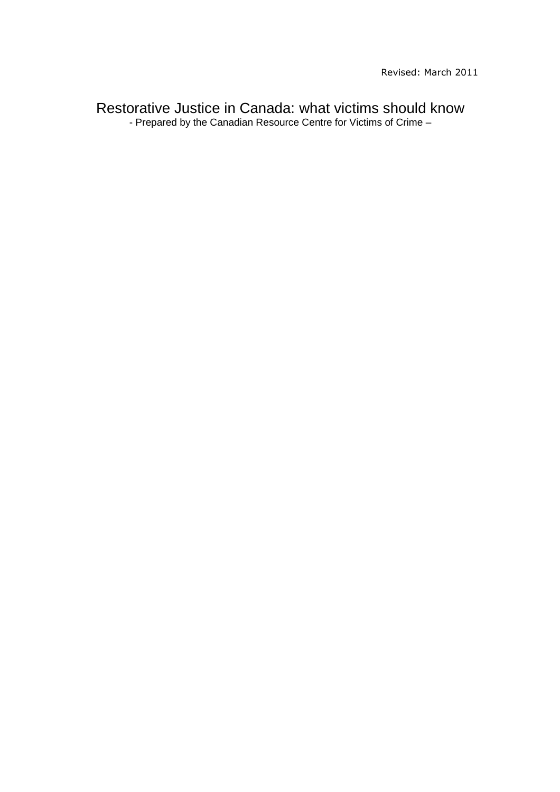Restorative Justice in Canada: what victims should know - Prepared by the Canadian Resource Centre for Victims of Crime –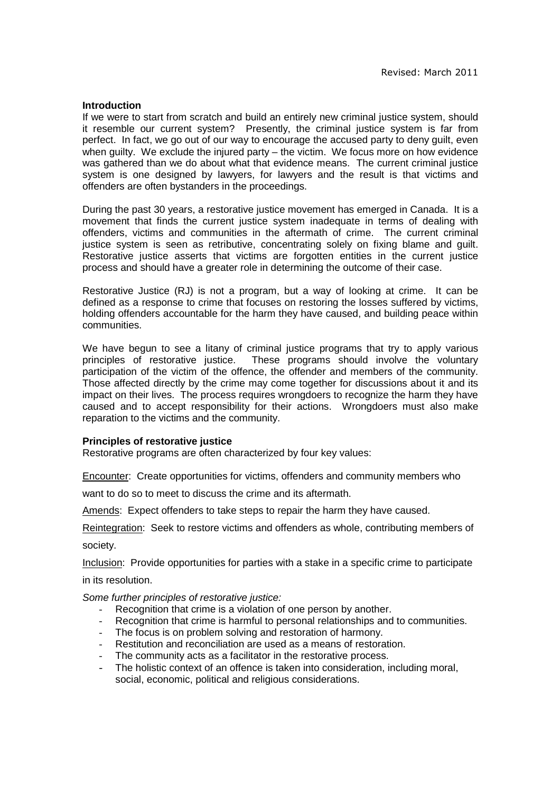#### **Introduction**

If we were to start from scratch and build an entirely new criminal justice system, should it resemble our current system? Presently, the criminal justice system is far from perfect. In fact, we go out of our way to encourage the accused party to deny guilt, even when guilty. We exclude the injured party – the victim. We focus more on how evidence was gathered than we do about what that evidence means. The current criminal justice system is one designed by lawyers, for lawyers and the result is that victims and offenders are often bystanders in the proceedings.

During the past 30 years, a restorative justice movement has emerged in Canada. It is a movement that finds the current justice system inadequate in terms of dealing with offenders, victims and communities in the aftermath of crime. The current criminal justice system is seen as retributive, concentrating solely on fixing blame and guilt. Restorative justice asserts that victims are forgotten entities in the current justice process and should have a greater role in determining the outcome of their case.

Restorative Justice (RJ) is not a program, but a way of looking at crime. It can be defined as a response to crime that focuses on restoring the losses suffered by victims, holding offenders accountable for the harm they have caused, and building peace within communities.

We have begun to see a litany of criminal justice programs that try to apply various principles of restorative justice. These programs should involve the voluntary participation of the victim of the offence, the offender and members of the community. Those affected directly by the crime may come together for discussions about it and its impact on their lives. The process requires wrongdoers to recognize the harm they have caused and to accept responsibility for their actions. Wrongdoers must also make reparation to the victims and the community.

## **Principles of restorative justice**

Restorative programs are often characterized by four key values:

Encounter: Create opportunities for victims, offenders and community members who

want to do so to meet to discuss the crime and its aftermath.

Amends: Expect offenders to take steps to repair the harm they have caused.

Reintegration: Seek to restore victims and offenders as whole, contributing members of society.

Inclusion: Provide opportunities for parties with a stake in a specific crime to participate in its resolution.

Some further principles of restorative justice:

- Recognition that crime is a violation of one person by another.
- Recognition that crime is harmful to personal relationships and to communities.
- The focus is on problem solving and restoration of harmony.
- Restitution and reconciliation are used as a means of restoration.
- The community acts as a facilitator in the restorative process.
- The holistic context of an offence is taken into consideration, including moral, social, economic, political and religious considerations.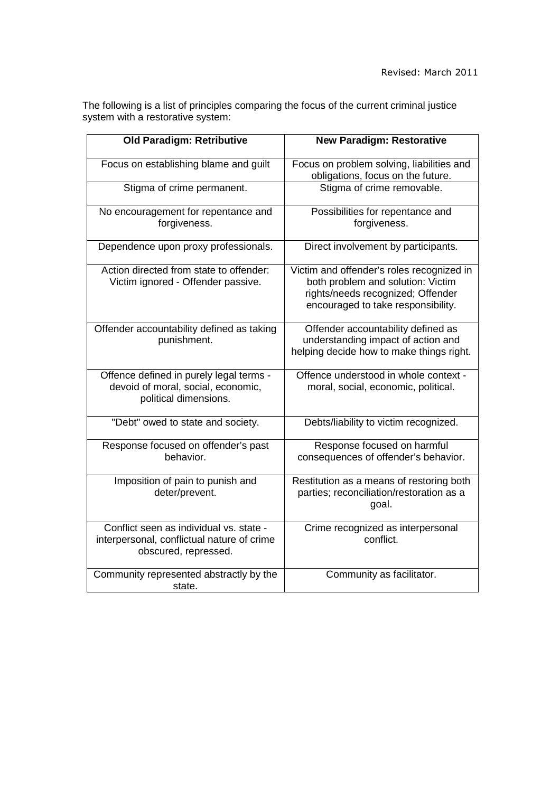The following is a list of principles comparing the focus of the current criminal justice system with a restorative system:

| <b>Old Paradigm: Retributive</b>                                                                              | <b>New Paradigm: Restorative</b>                                                                                                                          |
|---------------------------------------------------------------------------------------------------------------|-----------------------------------------------------------------------------------------------------------------------------------------------------------|
| Focus on establishing blame and guilt                                                                         | Focus on problem solving, liabilities and<br>obligations, focus on the future.                                                                            |
| Stigma of crime permanent.                                                                                    | Stigma of crime removable.                                                                                                                                |
| No encouragement for repentance and<br>forgiveness.                                                           | Possibilities for repentance and<br>forgiveness.                                                                                                          |
| Dependence upon proxy professionals.                                                                          | Direct involvement by participants.                                                                                                                       |
| Action directed from state to offender:<br>Victim ignored - Offender passive.                                 | Victim and offender's roles recognized in<br>both problem and solution: Victim<br>rights/needs recognized; Offender<br>encouraged to take responsibility. |
| Offender accountability defined as taking<br>punishment.                                                      | Offender accountability defined as<br>understanding impact of action and<br>helping decide how to make things right.                                      |
| Offence defined in purely legal terms -<br>devoid of moral, social, economic,<br>political dimensions.        | Offence understood in whole context -<br>moral, social, economic, political.                                                                              |
| "Debt" owed to state and society.                                                                             | Debts/liability to victim recognized.                                                                                                                     |
| Response focused on offender's past<br>behavior.                                                              | Response focused on harmful<br>consequences of offender's behavior.                                                                                       |
| Imposition of pain to punish and<br>deter/prevent.                                                            | Restitution as a means of restoring both<br>parties; reconciliation/restoration as a<br>goal.                                                             |
| Conflict seen as individual vs. state -<br>interpersonal, conflictual nature of crime<br>obscured, repressed. | Crime recognized as interpersonal<br>conflict.                                                                                                            |
| Community represented abstractly by the<br>state.                                                             | Community as facilitator.                                                                                                                                 |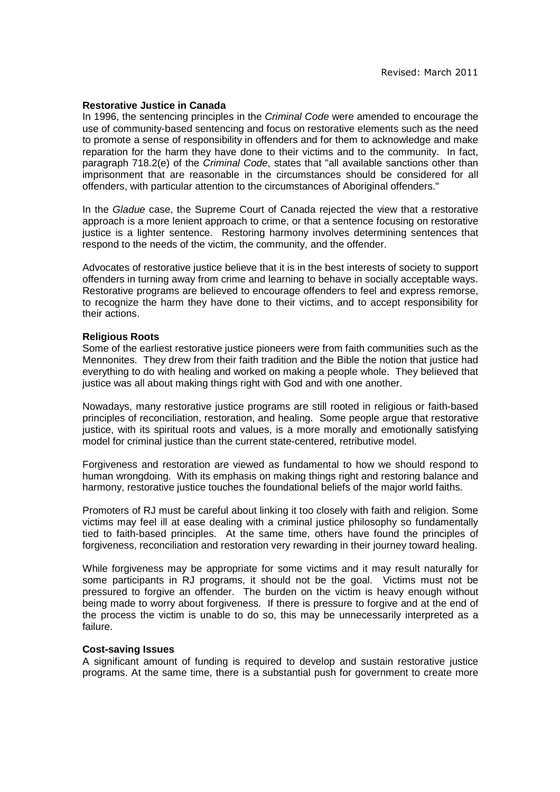#### **Restorative Justice in Canada**

In 1996, the sentencing principles in the Criminal Code were amended to encourage the use of community-based sentencing and focus on restorative elements such as the need to promote a sense of responsibility in offenders and for them to acknowledge and make reparation for the harm they have done to their victims and to the community. In fact, paragraph 718.2(e) of the Criminal Code, states that "all available sanctions other than imprisonment that are reasonable in the circumstances should be considered for all offenders, with particular attention to the circumstances of Aboriginal offenders."

In the Gladue case, the Supreme Court of Canada rejected the view that a restorative approach is a more lenient approach to crime, or that a sentence focusing on restorative justice is a lighter sentence. Restoring harmony involves determining sentences that respond to the needs of the victim, the community, and the offender.

Advocates of restorative justice believe that it is in the best interests of society to support offenders in turning away from crime and learning to behave in socially acceptable ways. Restorative programs are believed to encourage offenders to feel and express remorse, to recognize the harm they have done to their victims, and to accept responsibility for their actions.

#### **Religious Roots**

Some of the earliest restorative justice pioneers were from faith communities such as the Mennonites. They drew from their faith tradition and the Bible the notion that justice had everything to do with healing and worked on making a people whole. They believed that justice was all about making things right with God and with one another.

Nowadays, many restorative justice programs are still rooted in religious or faith-based principles of reconciliation, restoration, and healing. Some people argue that restorative justice, with its spiritual roots and values, is a more morally and emotionally satisfying model for criminal justice than the current state-centered, retributive model.

Forgiveness and restoration are viewed as fundamental to how we should respond to human wrongdoing. With its emphasis on making things right and restoring balance and harmony, restorative justice touches the foundational beliefs of the major world faiths.

Promoters of RJ must be careful about linking it too closely with faith and religion. Some victims may feel ill at ease dealing with a criminal justice philosophy so fundamentally tied to faith-based principles. At the same time, others have found the principles of forgiveness, reconciliation and restoration very rewarding in their journey toward healing.

While forgiveness may be appropriate for some victims and it may result naturally for some participants in RJ programs, it should not be the goal. Victims must not be pressured to forgive an offender. The burden on the victim is heavy enough without being made to worry about forgiveness. If there is pressure to forgive and at the end of the process the victim is unable to do so, this may be unnecessarily interpreted as a failure.

#### **Cost-saving Issues**

A significant amount of funding is required to develop and sustain restorative justice programs. At the same time, there is a substantial push for government to create more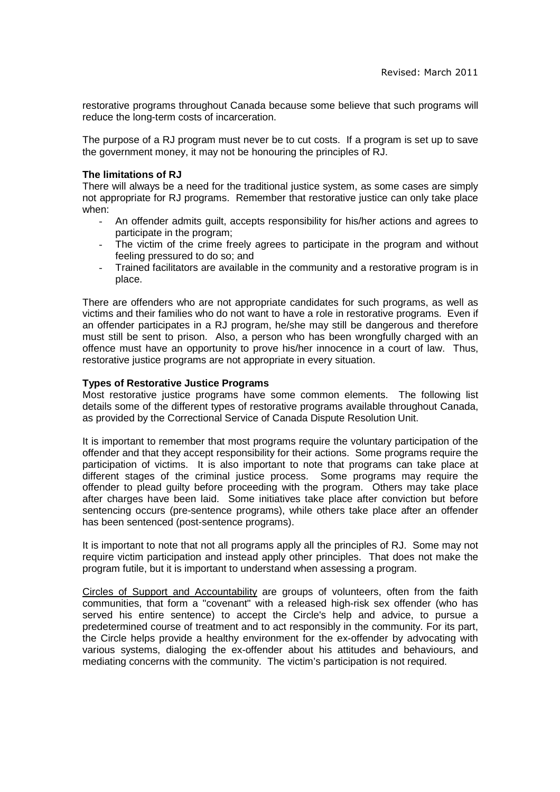restorative programs throughout Canada because some believe that such programs will reduce the long-term costs of incarceration.

The purpose of a RJ program must never be to cut costs. If a program is set up to save the government money, it may not be honouring the principles of RJ.

## **The limitations of RJ**

There will always be a need for the traditional justice system, as some cases are simply not appropriate for RJ programs. Remember that restorative justice can only take place when:

- An offender admits guilt, accepts responsibility for his/her actions and agrees to participate in the program;
- The victim of the crime freely agrees to participate in the program and without feeling pressured to do so; and
- Trained facilitators are available in the community and a restorative program is in place.

There are offenders who are not appropriate candidates for such programs, as well as victims and their families who do not want to have a role in restorative programs. Even if an offender participates in a RJ program, he/she may still be dangerous and therefore must still be sent to prison. Also, a person who has been wrongfully charged with an offence must have an opportunity to prove his/her innocence in a court of law. Thus, restorative justice programs are not appropriate in every situation.

# **Types of Restorative Justice Programs**

Most restorative justice programs have some common elements. The following list details some of the different types of restorative programs available throughout Canada, as provided by the Correctional Service of Canada Dispute Resolution Unit.

It is important to remember that most programs require the voluntary participation of the offender and that they accept responsibility for their actions. Some programs require the participation of victims. It is also important to note that programs can take place at different stages of the criminal justice process. Some programs may require the offender to plead guilty before proceeding with the program. Others may take place after charges have been laid. Some initiatives take place after conviction but before sentencing occurs (pre-sentence programs), while others take place after an offender has been sentenced (post-sentence programs).

It is important to note that not all programs apply all the principles of RJ. Some may not require victim participation and instead apply other principles. That does not make the program futile, but it is important to understand when assessing a program.

Circles of Support and Accountability are groups of volunteers, often from the faith communities, that form a "covenant" with a released high-risk sex offender (who has served his entire sentence) to accept the Circle's help and advice, to pursue a predetermined course of treatment and to act responsibly in the community. For its part, the Circle helps provide a healthy environment for the ex-offender by advocating with various systems, dialoging the ex-offender about his attitudes and behaviours, and mediating concerns with the community. The victim's participation is not required.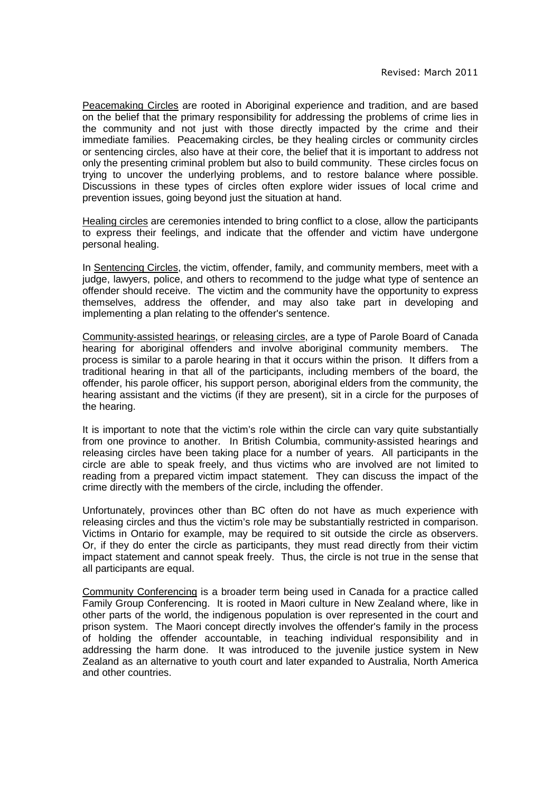Peacemaking Circles are rooted in Aboriginal experience and tradition, and are based on the belief that the primary responsibility for addressing the problems of crime lies in the community and not just with those directly impacted by the crime and their immediate families. Peacemaking circles, be they healing circles or community circles or sentencing circles, also have at their core, the belief that it is important to address not only the presenting criminal problem but also to build community. These circles focus on trying to uncover the underlying problems, and to restore balance where possible. Discussions in these types of circles often explore wider issues of local crime and prevention issues, going beyond just the situation at hand.

Healing circles are ceremonies intended to bring conflict to a close, allow the participants to express their feelings, and indicate that the offender and victim have undergone personal healing.

In Sentencing Circles, the victim, offender, family, and community members, meet with a judge, lawyers, police, and others to recommend to the judge what type of sentence an offender should receive. The victim and the community have the opportunity to express themselves, address the offender, and may also take part in developing and implementing a plan relating to the offender's sentence.

Community-assisted hearings, or releasing circles, are a type of Parole Board of Canada hearing for aboriginal offenders and involve aboriginal community members. The process is similar to a parole hearing in that it occurs within the prison. It differs from a traditional hearing in that all of the participants, including members of the board, the offender, his parole officer, his support person, aboriginal elders from the community, the hearing assistant and the victims (if they are present), sit in a circle for the purposes of the hearing.

It is important to note that the victim's role within the circle can vary quite substantially from one province to another. In British Columbia, community-assisted hearings and releasing circles have been taking place for a number of years. All participants in the circle are able to speak freely, and thus victims who are involved are not limited to reading from a prepared victim impact statement. They can discuss the impact of the crime directly with the members of the circle, including the offender.

Unfortunately, provinces other than BC often do not have as much experience with releasing circles and thus the victim's role may be substantially restricted in comparison. Victims in Ontario for example, may be required to sit outside the circle as observers. Or, if they do enter the circle as participants, they must read directly from their victim impact statement and cannot speak freely. Thus, the circle is not true in the sense that all participants are equal.

Community Conferencing is a broader term being used in Canada for a practice called Family Group Conferencing. It is rooted in Maori culture in New Zealand where, like in other parts of the world, the indigenous population is over represented in the court and prison system. The Maori concept directly involves the offender's family in the process of holding the offender accountable, in teaching individual responsibility and in addressing the harm done. It was introduced to the juvenile justice system in New Zealand as an alternative to youth court and later expanded to Australia, North America and other countries.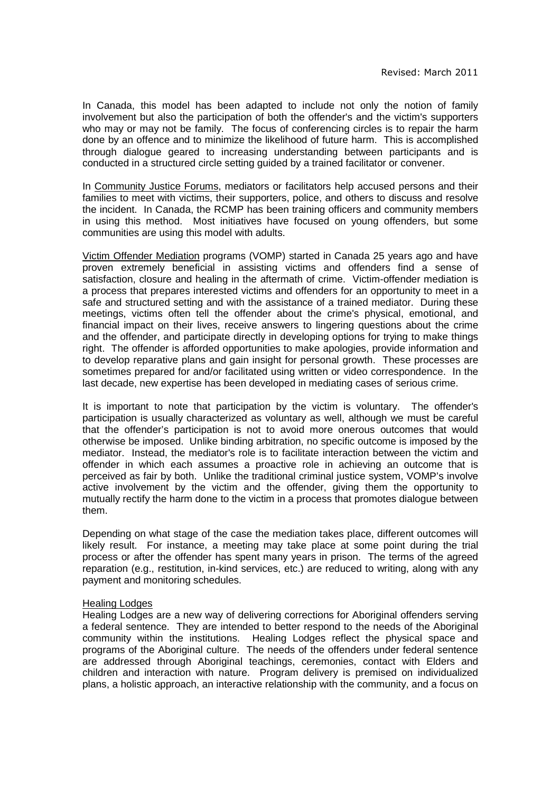In Canada, this model has been adapted to include not only the notion of family involvement but also the participation of both the offender's and the victim's supporters who may or may not be family. The focus of conferencing circles is to repair the harm done by an offence and to minimize the likelihood of future harm. This is accomplished through dialogue geared to increasing understanding between participants and is conducted in a structured circle setting guided by a trained facilitator or convener.

In Community Justice Forums, mediators or facilitators help accused persons and their families to meet with victims, their supporters, police, and others to discuss and resolve the incident. In Canada, the RCMP has been training officers and community members in using this method. Most initiatives have focused on young offenders, but some communities are using this model with adults.

Victim Offender Mediation programs (VOMP) started in Canada 25 years ago and have proven extremely beneficial in assisting victims and offenders find a sense of satisfaction, closure and healing in the aftermath of crime. Victim-offender mediation is a process that prepares interested victims and offenders for an opportunity to meet in a safe and structured setting and with the assistance of a trained mediator. During these meetings, victims often tell the offender about the crime's physical, emotional, and financial impact on their lives, receive answers to lingering questions about the crime and the offender, and participate directly in developing options for trying to make things right. The offender is afforded opportunities to make apologies, provide information and to develop reparative plans and gain insight for personal growth. These processes are sometimes prepared for and/or facilitated using written or video correspondence. In the last decade, new expertise has been developed in mediating cases of serious crime.

It is important to note that participation by the victim is voluntary. The offender's participation is usually characterized as voluntary as well, although we must be careful that the offender's participation is not to avoid more onerous outcomes that would otherwise be imposed. Unlike binding arbitration, no specific outcome is imposed by the mediator. Instead, the mediator's role is to facilitate interaction between the victim and offender in which each assumes a proactive role in achieving an outcome that is perceived as fair by both. Unlike the traditional criminal justice system, VOMP's involve active involvement by the victim and the offender, giving them the opportunity to mutually rectify the harm done to the victim in a process that promotes dialogue between them.

Depending on what stage of the case the mediation takes place, different outcomes will likely result. For instance, a meeting may take place at some point during the trial process or after the offender has spent many years in prison. The terms of the agreed reparation (e.g., restitution, in-kind services, etc.) are reduced to writing, along with any payment and monitoring schedules.

## Healing Lodges

Healing Lodges are a new way of delivering corrections for Aboriginal offenders serving a federal sentence. They are intended to better respond to the needs of the Aboriginal community within the institutions. Healing Lodges reflect the physical space and programs of the Aboriginal culture. The needs of the offenders under federal sentence are addressed through Aboriginal teachings, ceremonies, contact with Elders and children and interaction with nature. Program delivery is premised on individualized plans, a holistic approach, an interactive relationship with the community, and a focus on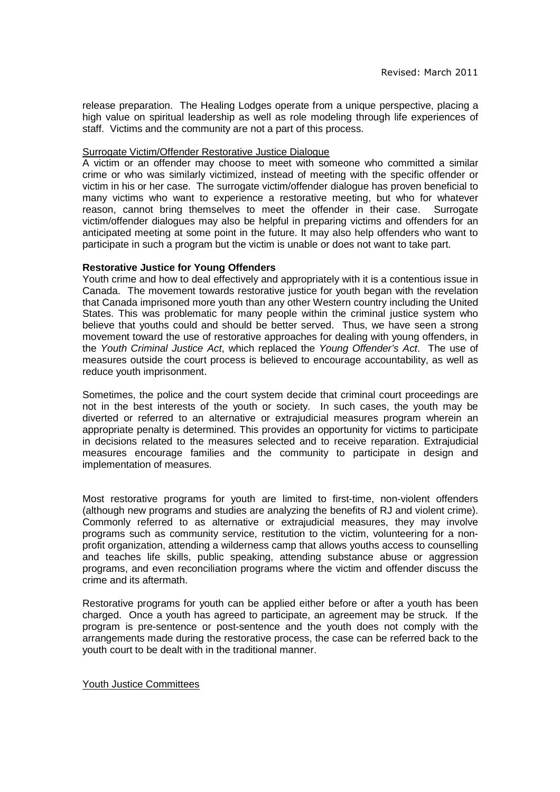release preparation. The Healing Lodges operate from a unique perspective, placing a high value on spiritual leadership as well as role modeling through life experiences of staff. Victims and the community are not a part of this process.

## Surrogate Victim/Offender Restorative Justice Dialogue

A victim or an offender may choose to meet with someone who committed a similar crime or who was similarly victimized, instead of meeting with the specific offender or victim in his or her case. The surrogate victim/offender dialogue has proven beneficial to many victims who want to experience a restorative meeting, but who for whatever reason, cannot bring themselves to meet the offender in their case. Surrogate victim/offender dialogues may also be helpful in preparing victims and offenders for an anticipated meeting at some point in the future. It may also help offenders who want to participate in such a program but the victim is unable or does not want to take part.

## **Restorative Justice for Young Offenders**

Youth crime and how to deal effectively and appropriately with it is a contentious issue in Canada. The movement towards restorative justice for youth began with the revelation that Canada imprisoned more youth than any other Western country including the United States. This was problematic for many people within the criminal justice system who believe that youths could and should be better served. Thus, we have seen a strong movement toward the use of restorative approaches for dealing with young offenders, in the Youth Criminal Justice Act, which replaced the Young Offender's Act. The use of measures outside the court process is believed to encourage accountability, as well as reduce youth imprisonment.

Sometimes, the police and the court system decide that criminal court proceedings are not in the best interests of the youth or society. In such cases, the youth may be diverted or referred to an alternative or extrajudicial measures program wherein an appropriate penalty is determined. This provides an opportunity for victims to participate in decisions related to the measures selected and to receive reparation. Extrajudicial measures encourage families and the community to participate in design and implementation of measures.

Most restorative programs for youth are limited to first-time, non-violent offenders (although new programs and studies are analyzing the benefits of RJ and violent crime). Commonly referred to as alternative or extrajudicial measures, they may involve programs such as community service, restitution to the victim, volunteering for a nonprofit organization, attending a wilderness camp that allows youths access to counselling and teaches life skills, public speaking, attending substance abuse or aggression programs, and even reconciliation programs where the victim and offender discuss the crime and its aftermath.

Restorative programs for youth can be applied either before or after a youth has been charged. Once a youth has agreed to participate, an agreement may be struck. If the program is pre-sentence or post-sentence and the youth does not comply with the arrangements made during the restorative process, the case can be referred back to the youth court to be dealt with in the traditional manner.

## Youth Justice Committees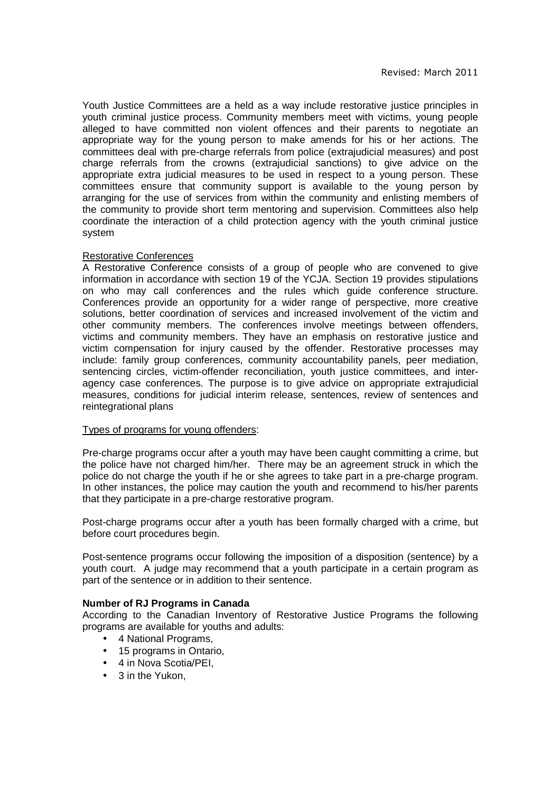Youth Justice Committees are a held as a way include restorative justice principles in youth criminal justice process. Community members meet with victims, young people alleged to have committed non violent offences and their parents to negotiate an appropriate way for the young person to make amends for his or her actions. The committees deal with pre-charge referrals from police (extrajudicial measures) and post charge referrals from the crowns (extrajudicial sanctions) to give advice on the appropriate extra judicial measures to be used in respect to a young person. These committees ensure that community support is available to the young person by arranging for the use of services from within the community and enlisting members of the community to provide short term mentoring and supervision. Committees also help coordinate the interaction of a child protection agency with the youth criminal justice system

# Restorative Conferences

A Restorative Conference consists of a group of people who are convened to give information in accordance with section 19 of the YCJA. Section 19 provides stipulations on who may call conferences and the rules which guide conference structure. Conferences provide an opportunity for a wider range of perspective, more creative solutions, better coordination of services and increased involvement of the victim and other community members. The conferences involve meetings between offenders, victims and community members. They have an emphasis on restorative justice and victim compensation for injury caused by the offender. Restorative processes may include: family group conferences, community accountability panels, peer mediation, sentencing circles, victim-offender reconciliation, youth justice committees, and interagency case conferences. The purpose is to give advice on appropriate extrajudicial measures, conditions for judicial interim release, sentences, review of sentences and reintegrational plans

## Types of programs for young offenders:

Pre-charge programs occur after a youth may have been caught committing a crime, but the police have not charged him/her. There may be an agreement struck in which the police do not charge the youth if he or she agrees to take part in a pre-charge program. In other instances, the police may caution the youth and recommend to his/her parents that they participate in a pre-charge restorative program.

Post-charge programs occur after a youth has been formally charged with a crime, but before court procedures begin.

Post-sentence programs occur following the imposition of a disposition (sentence) by a youth court. A judge may recommend that a youth participate in a certain program as part of the sentence or in addition to their sentence.

## **Number of RJ Programs in Canada**

According to the Canadian Inventory of Restorative Justice Programs the following programs are available for youths and adults:

- 4 National Programs,
- 15 programs in Ontario,
- 4 in Nova Scotia/PEI.
- 3 in the Yukon.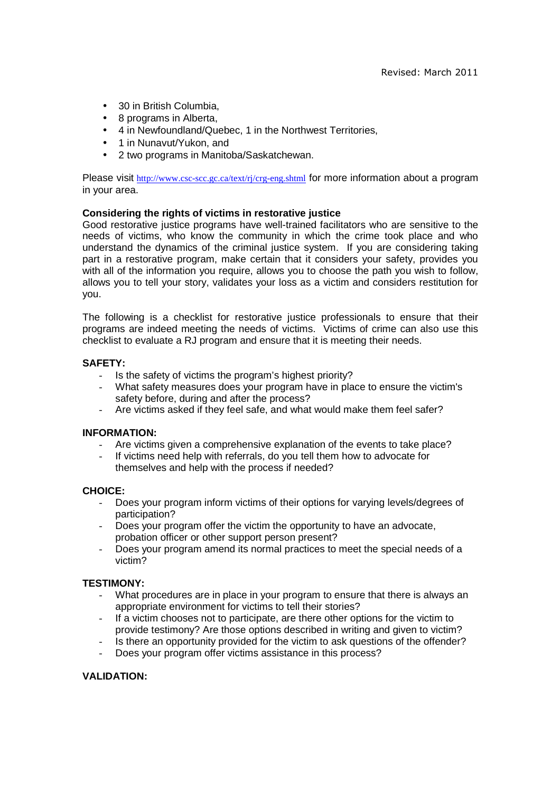- 30 in British Columbia,
- 8 programs in Alberta,
- 4 in Newfoundland/Quebec, 1 in the Northwest Territories,
- 1 in Nunavut/Yukon, and
- 2 two programs in Manitoba/Saskatchewan.

Please visit http://www.csc-scc.gc.ca/text/rj/crg-eng.shtml for more information about a program in your area.

# **Considering the rights of victims in restorative justice**

Good restorative justice programs have well-trained facilitators who are sensitive to the needs of victims, who know the community in which the crime took place and who understand the dynamics of the criminal justice system. If you are considering taking part in a restorative program, make certain that it considers your safety, provides you with all of the information you require, allows you to choose the path you wish to follow, allows you to tell your story, validates your loss as a victim and considers restitution for you.

The following is a checklist for restorative justice professionals to ensure that their programs are indeed meeting the needs of victims. Victims of crime can also use this checklist to evaluate a RJ program and ensure that it is meeting their needs.

# **SAFETY:**

- Is the safety of victims the program's highest priority?
- What safety measures does your program have in place to ensure the victim's safety before, during and after the process?
- Are victims asked if they feel safe, and what would make them feel safer?

## **INFORMATION:**

- Are victims given a comprehensive explanation of the events to take place?
- If victims need help with referrals, do you tell them how to advocate for themselves and help with the process if needed?

## **CHOICE:**

- Does your program inform victims of their options for varying levels/degrees of participation?
- Does your program offer the victim the opportunity to have an advocate, probation officer or other support person present?
- Does your program amend its normal practices to meet the special needs of a victim?

## **TESTIMONY:**

- What procedures are in place in your program to ensure that there is always an appropriate environment for victims to tell their stories?
- If a victim chooses not to participate, are there other options for the victim to provide testimony? Are those options described in writing and given to victim?
- Is there an opportunity provided for the victim to ask questions of the offender?
- Does your program offer victims assistance in this process?

## **VALIDATION:**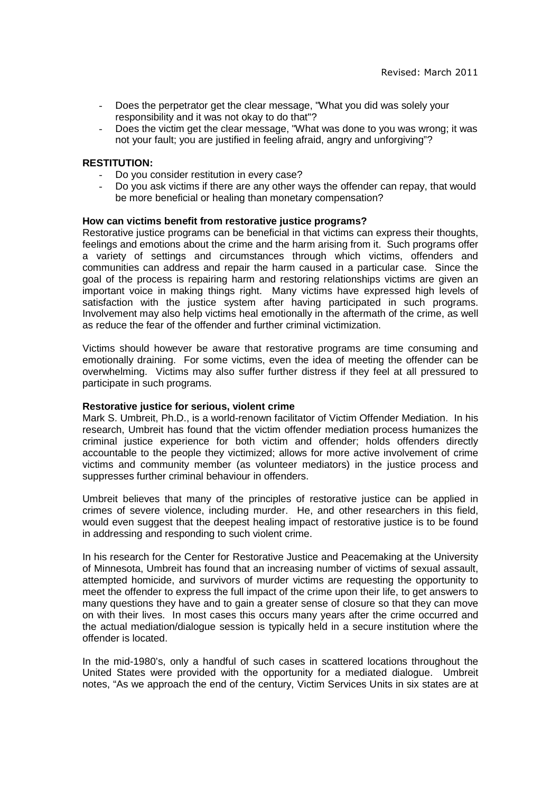- Does the perpetrator get the clear message, "What you did was solely your responsibility and it was not okay to do that"?
- Does the victim get the clear message, "What was done to you was wrong; it was not your fault; you are justified in feeling afraid, angry and unforgiving"?

## **RESTITUTION:**

- Do you consider restitution in every case?
- Do you ask victims if there are any other ways the offender can repay, that would be more beneficial or healing than monetary compensation?

## **How can victims benefit from restorative justice programs?**

Restorative justice programs can be beneficial in that victims can express their thoughts, feelings and emotions about the crime and the harm arising from it. Such programs offer a variety of settings and circumstances through which victims, offenders and communities can address and repair the harm caused in a particular case. Since the goal of the process is repairing harm and restoring relationships victims are given an important voice in making things right. Many victims have expressed high levels of satisfaction with the justice system after having participated in such programs. Involvement may also help victims heal emotionally in the aftermath of the crime, as well as reduce the fear of the offender and further criminal victimization.

Victims should however be aware that restorative programs are time consuming and emotionally draining. For some victims, even the idea of meeting the offender can be overwhelming. Victims may also suffer further distress if they feel at all pressured to participate in such programs.

#### **Restorative justice for serious, violent crime**

Mark S. Umbreit, Ph.D., is a world-renown facilitator of Victim Offender Mediation. In his research, Umbreit has found that the victim offender mediation process humanizes the criminal justice experience for both victim and offender; holds offenders directly accountable to the people they victimized; allows for more active involvement of crime victims and community member (as volunteer mediators) in the justice process and suppresses further criminal behaviour in offenders.

Umbreit believes that many of the principles of restorative justice can be applied in crimes of severe violence, including murder. He, and other researchers in this field, would even suggest that the deepest healing impact of restorative justice is to be found in addressing and responding to such violent crime.

In his research for the Center for Restorative Justice and Peacemaking at the University of Minnesota, Umbreit has found that an increasing number of victims of sexual assault, attempted homicide, and survivors of murder victims are requesting the opportunity to meet the offender to express the full impact of the crime upon their life, to get answers to many questions they have and to gain a greater sense of closure so that they can move on with their lives. In most cases this occurs many years after the crime occurred and the actual mediation/dialogue session is typically held in a secure institution where the offender is located.

In the mid-1980's, only a handful of such cases in scattered locations throughout the United States were provided with the opportunity for a mediated dialogue. Umbreit notes, "As we approach the end of the century, Victim Services Units in six states are at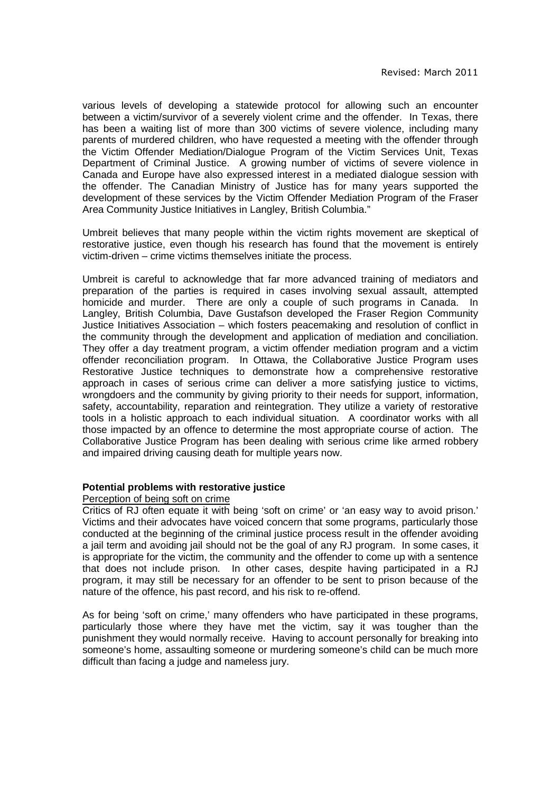various levels of developing a statewide protocol for allowing such an encounter between a victim/survivor of a severely violent crime and the offender. In Texas, there has been a waiting list of more than 300 victims of severe violence, including many parents of murdered children, who have requested a meeting with the offender through the Victim Offender Mediation/Dialogue Program of the Victim Services Unit, Texas Department of Criminal Justice. A growing number of victims of severe violence in Canada and Europe have also expressed interest in a mediated dialogue session with the offender. The Canadian Ministry of Justice has for many years supported the development of these services by the Victim Offender Mediation Program of the Fraser Area Community Justice Initiatives in Langley, British Columbia."

Umbreit believes that many people within the victim rights movement are skeptical of restorative justice, even though his research has found that the movement is entirely victim-driven – crime victims themselves initiate the process.

Umbreit is careful to acknowledge that far more advanced training of mediators and preparation of the parties is required in cases involving sexual assault, attempted homicide and murder. There are only a couple of such programs in Canada. In Langley, British Columbia, Dave Gustafson developed the Fraser Region Community Justice Initiatives Association – which fosters peacemaking and resolution of conflict in the community through the development and application of mediation and conciliation. They offer a day treatment program, a victim offender mediation program and a victim offender reconciliation program. In Ottawa, the Collaborative Justice Program uses Restorative Justice techniques to demonstrate how a comprehensive restorative approach in cases of serious crime can deliver a more satisfying justice to victims, wrongdoers and the community by giving priority to their needs for support, information, safety, accountability, reparation and reintegration. They utilize a variety of restorative tools in a holistic approach to each individual situation. A coordinator works with all those impacted by an offence to determine the most appropriate course of action. The Collaborative Justice Program has been dealing with serious crime like armed robbery and impaired driving causing death for multiple years now.

## **Potential problems with restorative justice**

## Perception of being soft on crime

Critics of RJ often equate it with being 'soft on crime' or 'an easy way to avoid prison.' Victims and their advocates have voiced concern that some programs, particularly those conducted at the beginning of the criminal justice process result in the offender avoiding a jail term and avoiding jail should not be the goal of any RJ program. In some cases, it is appropriate for the victim, the community and the offender to come up with a sentence that does not include prison. In other cases, despite having participated in a RJ program, it may still be necessary for an offender to be sent to prison because of the nature of the offence, his past record, and his risk to re-offend.

As for being 'soft on crime,' many offenders who have participated in these programs, particularly those where they have met the victim, say it was tougher than the punishment they would normally receive. Having to account personally for breaking into someone's home, assaulting someone or murdering someone's child can be much more difficult than facing a judge and nameless jury.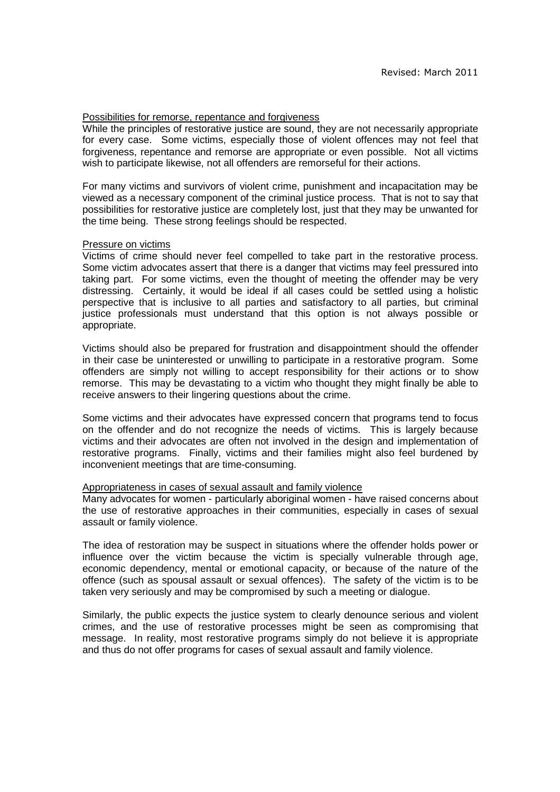#### Possibilities for remorse, repentance and forgiveness

While the principles of restorative justice are sound, they are not necessarily appropriate for every case. Some victims, especially those of violent offences may not feel that forgiveness, repentance and remorse are appropriate or even possible. Not all victims wish to participate likewise, not all offenders are remorseful for their actions.

For many victims and survivors of violent crime, punishment and incapacitation may be viewed as a necessary component of the criminal justice process. That is not to say that possibilities for restorative justice are completely lost, just that they may be unwanted for the time being. These strong feelings should be respected.

#### Pressure on victims

Victims of crime should never feel compelled to take part in the restorative process. Some victim advocates assert that there is a danger that victims may feel pressured into taking part. For some victims, even the thought of meeting the offender may be very distressing. Certainly, it would be ideal if all cases could be settled using a holistic perspective that is inclusive to all parties and satisfactory to all parties, but criminal justice professionals must understand that this option is not always possible or appropriate.

Victims should also be prepared for frustration and disappointment should the offender in their case be uninterested or unwilling to participate in a restorative program. Some offenders are simply not willing to accept responsibility for their actions or to show remorse. This may be devastating to a victim who thought they might finally be able to receive answers to their lingering questions about the crime.

Some victims and their advocates have expressed concern that programs tend to focus on the offender and do not recognize the needs of victims. This is largely because victims and their advocates are often not involved in the design and implementation of restorative programs. Finally, victims and their families might also feel burdened by inconvenient meetings that are time-consuming.

#### Appropriateness in cases of sexual assault and family violence

Many advocates for women - particularly aboriginal women - have raised concerns about the use of restorative approaches in their communities, especially in cases of sexual assault or family violence.

The idea of restoration may be suspect in situations where the offender holds power or influence over the victim because the victim is specially vulnerable through age, economic dependency, mental or emotional capacity, or because of the nature of the offence (such as spousal assault or sexual offences). The safety of the victim is to be taken very seriously and may be compromised by such a meeting or dialogue.

Similarly, the public expects the justice system to clearly denounce serious and violent crimes, and the use of restorative processes might be seen as compromising that message. In reality, most restorative programs simply do not believe it is appropriate and thus do not offer programs for cases of sexual assault and family violence.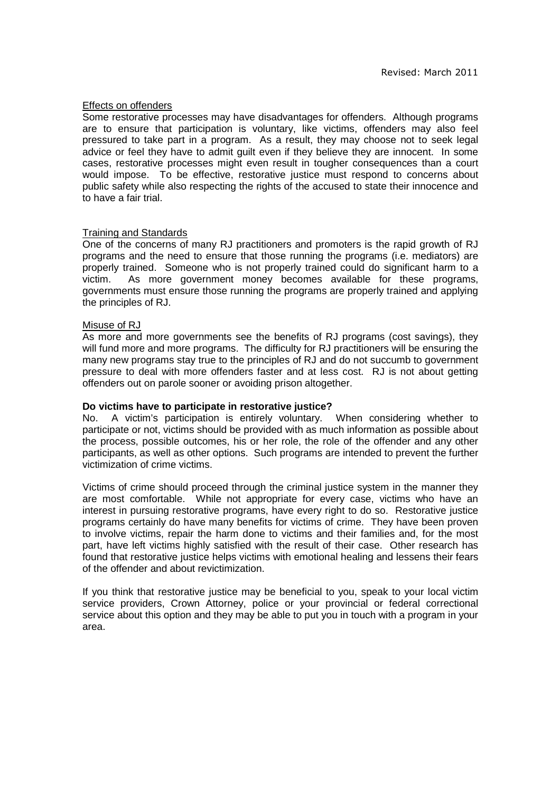#### Effects on offenders

Some restorative processes may have disadvantages for offenders. Although programs are to ensure that participation is voluntary, like victims, offenders may also feel pressured to take part in a program. As a result, they may choose not to seek legal advice or feel they have to admit guilt even if they believe they are innocent. In some cases, restorative processes might even result in tougher consequences than a court would impose. To be effective, restorative justice must respond to concerns about public safety while also respecting the rights of the accused to state their innocence and to have a fair trial.

## Training and Standards

One of the concerns of many RJ practitioners and promoters is the rapid growth of RJ programs and the need to ensure that those running the programs (i.e. mediators) are properly trained. Someone who is not properly trained could do significant harm to a victim. As more government money becomes available for these programs, governments must ensure those running the programs are properly trained and applying the principles of RJ.

#### Misuse of RJ

As more and more governments see the benefits of RJ programs (cost savings), they will fund more and more programs. The difficulty for RJ practitioners will be ensuring the many new programs stay true to the principles of RJ and do not succumb to government pressure to deal with more offenders faster and at less cost. RJ is not about getting offenders out on parole sooner or avoiding prison altogether.

#### **Do victims have to participate in restorative justice?**

No. A victim's participation is entirely voluntary. When considering whether to participate or not, victims should be provided with as much information as possible about the process, possible outcomes, his or her role, the role of the offender and any other participants, as well as other options. Such programs are intended to prevent the further victimization of crime victims.

Victims of crime should proceed through the criminal justice system in the manner they are most comfortable. While not appropriate for every case, victims who have an interest in pursuing restorative programs, have every right to do so. Restorative justice programs certainly do have many benefits for victims of crime. They have been proven to involve victims, repair the harm done to victims and their families and, for the most part, have left victims highly satisfied with the result of their case. Other research has found that restorative justice helps victims with emotional healing and lessens their fears of the offender and about revictimization.

If you think that restorative justice may be beneficial to you, speak to your local victim service providers, Crown Attorney, police or your provincial or federal correctional service about this option and they may be able to put you in touch with a program in your area.